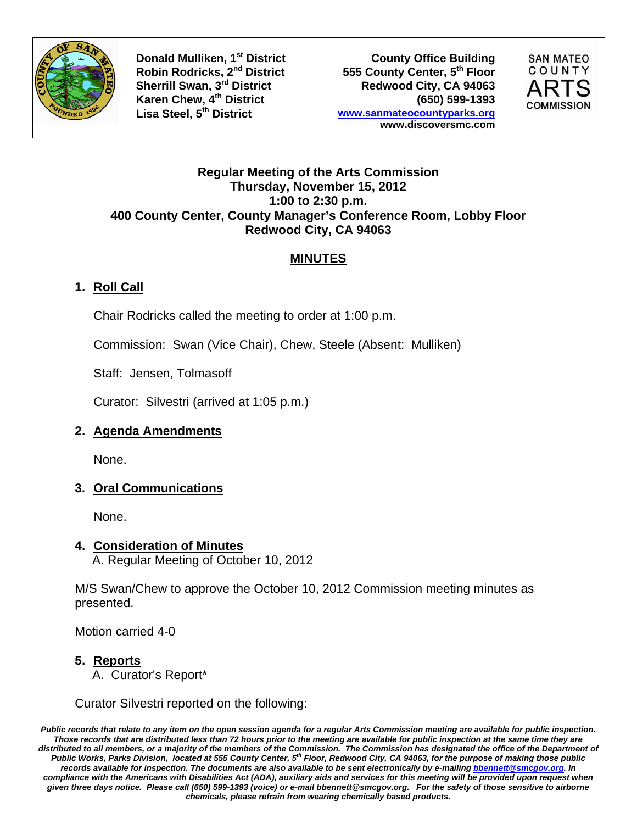

**Donald Mulliken, 1<sup>st</sup> District County Office Building Robin Rodricks, 2<sup>nd</sup> District 6555 County Center, 5<sup>th</sup> Floor 555 County Center, 5th Floor** Sherrill Swan, 3<sup>rd</sup> District **Redwood City, CA 94063 Karen Chew, 4th District (650) 599-1393 Lisa Steel, 5th District www.sanmateocountyparks.org www.discoversmc.com** 



#### **Regular Meeting of the Arts Commission Thursday, November 15, 2012 1:00 to 2:30 p.m. 400 County Center, County Manager's Conference Room, Lobby Floor Redwood City, CA 94063**

## **MINUTES**

# **1. Roll Call**

Chair Rodricks called the meeting to order at 1:00 p.m.

Commission: Swan (Vice Chair), Chew, Steele (Absent: Mulliken)

Staff: Jensen, Tolmasoff

Curator: Silvestri (arrived at 1:05 p.m.)

### **2. Agenda Amendments**

None.

### **3. Oral Communications**

None.

### **4. Consideration of Minutes**

A. Regular Meeting of October 10, 2012

M/S Swan/Chew to approve the October 10, 2012 Commission meeting minutes as presented.

Motion carried 4-0

### **5. Reports**

A. Curator's Report\*

Curator Silvestri reported on the following:

*Public records that relate to any item on the open session agenda for a regular Arts Commission meeting are available for public inspection. Those records that are distributed less than 72 hours prior to the meeting are available for public inspection at the same time they are*  distributed to all members, or a majority of the members of the Commission. The Commission has designated the office of the Department of *Public Works, Parks Division, located at 555 County Center, 5th Floor, Redwood City, CA 94063, for the purpose of making those public records available for inspection. The documents are also available to be sent electronically by e-mailing bbennett@smcgov.org. In compliance with the Americans with Disabilities Act (ADA), auxiliary aids and services for this meeting will be provided upon request when given three days notice. Please call (650) 599-1393 (voice) or e-mail bbennett@smcgov.org. For the safety of those sensitive to airborne chemicals, please refrain from wearing chemically based products.*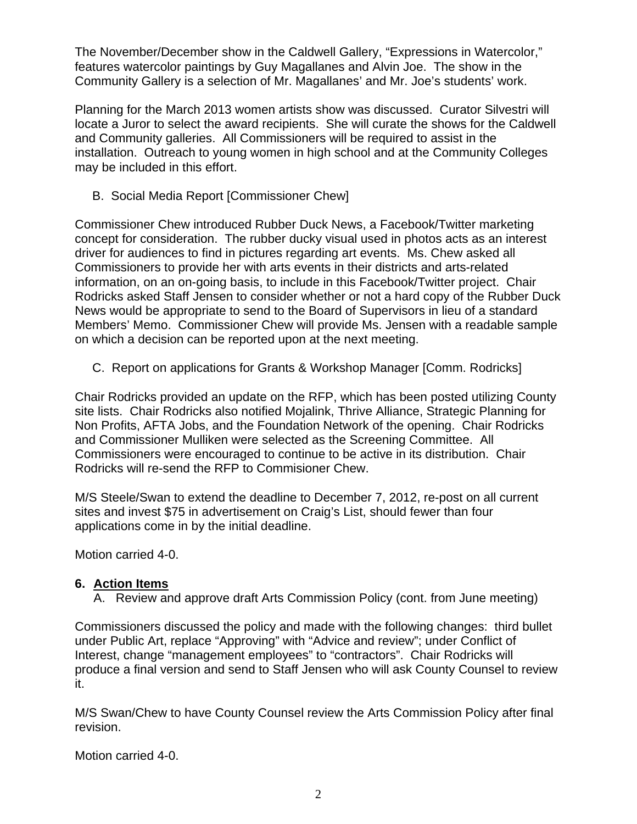The November/December show in the Caldwell Gallery, "Expressions in Watercolor," features watercolor paintings by Guy Magallanes and Alvin Joe. The show in the Community Gallery is a selection of Mr. Magallanes' and Mr. Joe's students' work.

Planning for the March 2013 women artists show was discussed. Curator Silvestri will locate a Juror to select the award recipients. She will curate the shows for the Caldwell and Community galleries. All Commissioners will be required to assist in the installation. Outreach to young women in high school and at the Community Colleges may be included in this effort.

B. Social Media Report [Commissioner Chew]

Commissioner Chew introduced Rubber Duck News, a Facebook/Twitter marketing concept for consideration. The rubber ducky visual used in photos acts as an interest driver for audiences to find in pictures regarding art events. Ms. Chew asked all Commissioners to provide her with arts events in their districts and arts-related information, on an on-going basis, to include in this Facebook/Twitter project. Chair Rodricks asked Staff Jensen to consider whether or not a hard copy of the Rubber Duck News would be appropriate to send to the Board of Supervisors in lieu of a standard Members' Memo. Commissioner Chew will provide Ms. Jensen with a readable sample on which a decision can be reported upon at the next meeting.

C. Report on applications for Grants & Workshop Manager [Comm. Rodricks]

Chair Rodricks provided an update on the RFP, which has been posted utilizing County site lists. Chair Rodricks also notified Mojalink, Thrive Alliance, Strategic Planning for Non Profits, AFTA Jobs, and the Foundation Network of the opening. Chair Rodricks and Commissioner Mulliken were selected as the Screening Committee. All Commissioners were encouraged to continue to be active in its distribution. Chair Rodricks will re-send the RFP to Commisioner Chew.

M/S Steele/Swan to extend the deadline to December 7, 2012, re-post on all current sites and invest \$75 in advertisement on Craig's List, should fewer than four applications come in by the initial deadline.

Motion carried 4-0.

### **6. Action Items**

A. Review and approve draft Arts Commission Policy (cont. from June meeting)

Commissioners discussed the policy and made with the following changes: third bullet under Public Art, replace "Approving" with "Advice and review"; under Conflict of Interest, change "management employees" to "contractors". Chair Rodricks will produce a final version and send to Staff Jensen who will ask County Counsel to review it.

M/S Swan/Chew to have County Counsel review the Arts Commission Policy after final revision.

Motion carried 4-0.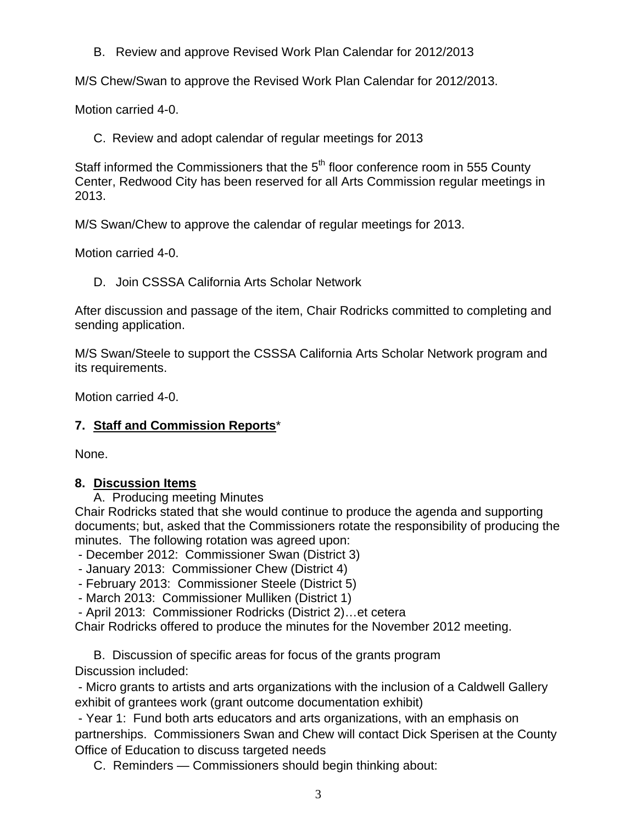B. Review and approve Revised Work Plan Calendar for 2012/2013

M/S Chew/Swan to approve the Revised Work Plan Calendar for 2012/2013.

Motion carried 4-0.

C. Review and adopt calendar of regular meetings for 2013

Staff informed the Commissioners that the 5<sup>th</sup> floor conference room in 555 County Center, Redwood City has been reserved for all Arts Commission regular meetings in 2013.

M/S Swan/Chew to approve the calendar of regular meetings for 2013.

Motion carried 4-0.

D. Join CSSSA California Arts Scholar Network

After discussion and passage of the item, Chair Rodricks committed to completing and sending application.

M/S Swan/Steele to support the CSSSA California Arts Scholar Network program and its requirements.

Motion carried 4-0.

### **7. Staff and Commission Reports**\*

None.

### **8. Discussion Items**

A. Producing meeting Minutes

Chair Rodricks stated that she would continue to produce the agenda and supporting documents; but, asked that the Commissioners rotate the responsibility of producing the minutes. The following rotation was agreed upon:

- December 2012: Commissioner Swan (District 3)

- January 2013: Commissioner Chew (District 4)
- February 2013: Commissioner Steele (District 5)
- March 2013: Commissioner Mulliken (District 1)

- April 2013: Commissioner Rodricks (District 2)…et cetera

Chair Rodricks offered to produce the minutes for the November 2012 meeting.

 B. Discussion of specific areas for focus of the grants program Discussion included:

 - Micro grants to artists and arts organizations with the inclusion of a Caldwell Gallery exhibit of grantees work (grant outcome documentation exhibit)

 - Year 1: Fund both arts educators and arts organizations, with an emphasis on partnerships. Commissioners Swan and Chew will contact Dick Sperisen at the County Office of Education to discuss targeted needs

C. Reminders — Commissioners should begin thinking about: